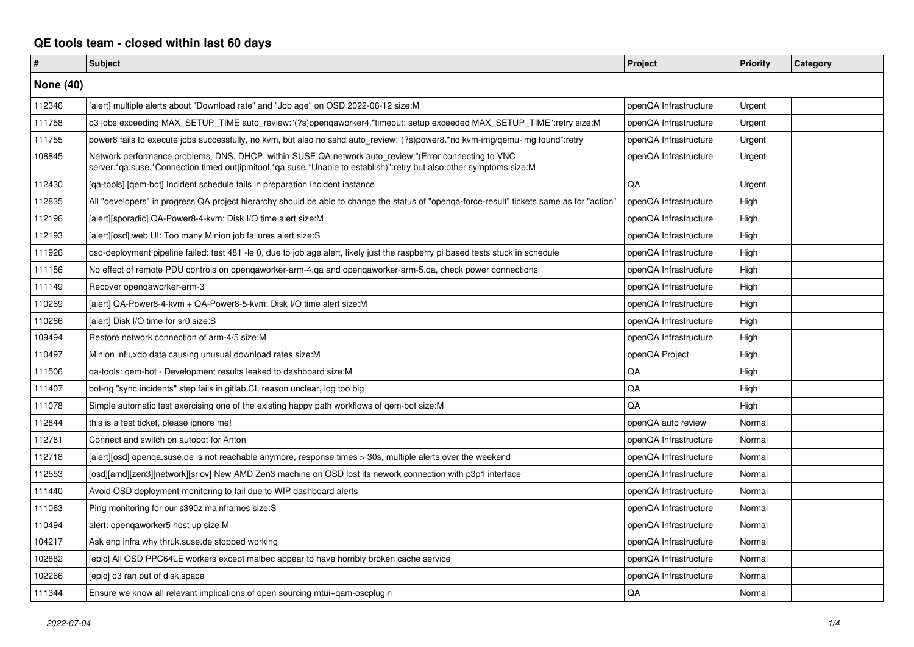## **QE tools team - closed within last 60 days**

| #                | <b>Subject</b>                                                                                                                                                                                                               | Project               | <b>Priority</b> | Category |  |
|------------------|------------------------------------------------------------------------------------------------------------------------------------------------------------------------------------------------------------------------------|-----------------------|-----------------|----------|--|
| <b>None (40)</b> |                                                                                                                                                                                                                              |                       |                 |          |  |
| 112346           | [alert] multiple alerts about "Download rate" and "Job age" on OSD 2022-06-12 size:M                                                                                                                                         | openQA Infrastructure | Urgent          |          |  |
| 111758           | o3 jobs exceeding MAX SETUP TIME auto review:"(?s)opengaworker4.*timeout: setup exceeded MAX SETUP TIME":retry size:M                                                                                                        | openQA Infrastructure | Urgent          |          |  |
| 111755           | power8 fails to execute jobs successfully, no kvm, but also no sshd auto_review:"(?s)power8.*no kvm-img/qemu-img found":retry                                                                                                | openQA Infrastructure | Urgent          |          |  |
| 108845           | Network performance problems, DNS, DHCP, within SUSE QA network auto_review:"(Error connecting to VNC<br>server.*qa.suse.*Connection timed out ipmitool.*qa.suse.*Unable to establish)":retry but also other symptoms size:M | openQA Infrastructure | Urgent          |          |  |
| 112430           | [ga-tools] [gem-bot] Incident schedule fails in preparation Incident instance                                                                                                                                                | <b>OA</b>             | Urgent          |          |  |
| 112835           | All "developers" in progress QA project hierarchy should be able to change the status of "openga-force-result" tickets same as for "action"                                                                                  | openQA Infrastructure | High            |          |  |
| 112196           | [alert][sporadic] QA-Power8-4-kvm: Disk I/O time alert size:M                                                                                                                                                                | openQA Infrastructure | High            |          |  |
| 112193           | [alert][osd] web UI: Too many Minion job failures alert size:S                                                                                                                                                               | openQA Infrastructure | High            |          |  |
| 111926           | osd-deployment pipeline failed: test 481 -le 0, due to job age alert, likely just the raspberry pi based tests stuck in schedule                                                                                             | openQA Infrastructure | High            |          |  |
| 111156           | No effect of remote PDU controls on openqaworker-arm-4.qa and openqaworker-arm-5.qa, check power connections                                                                                                                 | openQA Infrastructure | High            |          |  |
| 111149           | Recover opengaworker-arm-3                                                                                                                                                                                                   | openQA Infrastructure | High            |          |  |
| 110269           | [alert] QA-Power8-4-kvm + QA-Power8-5-kvm: Disk I/O time alert size:M                                                                                                                                                        | openQA Infrastructure | High            |          |  |
| 110266           | [alert] Disk I/O time for sr0 size:S                                                                                                                                                                                         | openQA Infrastructure | High            |          |  |
| 109494           | Restore network connection of arm-4/5 size:M                                                                                                                                                                                 | openQA Infrastructure | High            |          |  |
| 110497           | Minion influxdb data causing unusual download rates size:M                                                                                                                                                                   | openQA Project        | High            |          |  |
| 111506           | ga-tools: gem-bot - Development results leaked to dashboard size:M                                                                                                                                                           | QA                    | High            |          |  |
| 111407           | bot-ng "sync incidents" step fails in gitlab CI, reason unclear, log too big                                                                                                                                                 | QA                    | High            |          |  |
| 111078           | Simple automatic test exercising one of the existing happy path workflows of gem-bot size: M                                                                                                                                 | QA                    | High            |          |  |
| 112844           | this is a test ticket, please ignore me!                                                                                                                                                                                     | openQA auto review    | Normal          |          |  |
| 112781           | Connect and switch on autobot for Anton                                                                                                                                                                                      | openQA Infrastructure | Normal          |          |  |
| 112718           | [alert][osd] openga.suse.de is not reachable anymore, response times > 30s, multiple alerts over the weekend                                                                                                                 | openQA Infrastructure | Normal          |          |  |
| 112553           | [osd][amd][zen3][network][sriov] New AMD Zen3 machine on OSD lost its nework connection with p3p1 interface                                                                                                                  | openQA Infrastructure | Normal          |          |  |
| 111440           | Avoid OSD deployment monitoring to fail due to WIP dashboard alerts                                                                                                                                                          | openQA Infrastructure | Normal          |          |  |
| 111063           | Ping monitoring for our s390z mainframes size:S                                                                                                                                                                              | openQA Infrastructure | Normal          |          |  |
| 110494           | alert: opengaworker5 host up size:M                                                                                                                                                                                          | openQA Infrastructure | Normal          |          |  |
| 104217           | Ask eng infra why thruk.suse.de stopped working                                                                                                                                                                              | openQA Infrastructure | Normal          |          |  |
| 102882           | [epic] All OSD PPC64LE workers except malbec appear to have horribly broken cache service                                                                                                                                    | openQA Infrastructure | Normal          |          |  |
| 102266           | [epic] o3 ran out of disk space                                                                                                                                                                                              | openQA Infrastructure | Normal          |          |  |
| 111344           | Ensure we know all relevant implications of open sourcing mtui+qam-oscplugin                                                                                                                                                 | QA                    | Normal          |          |  |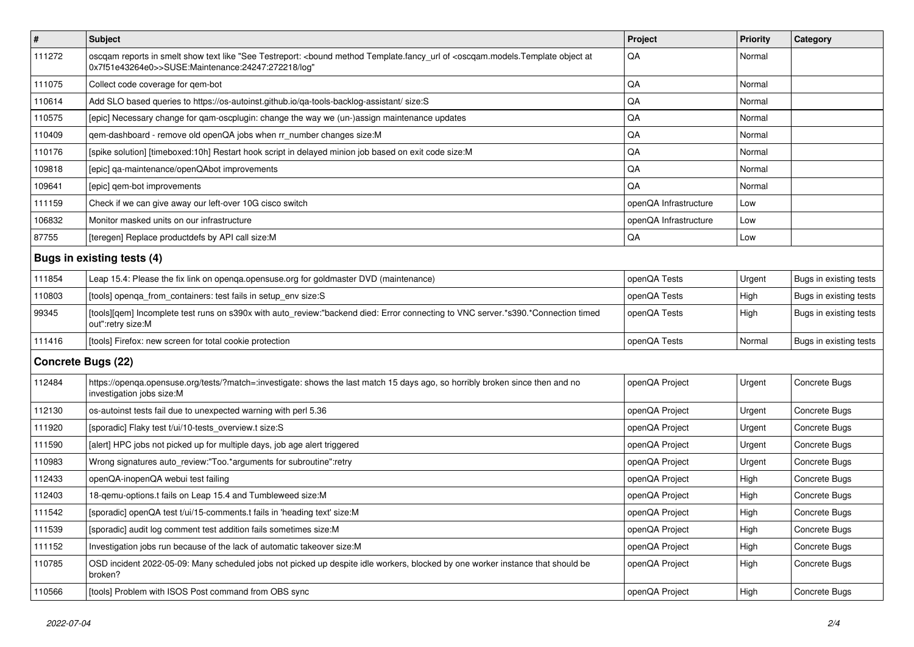| $\vert$ #                  | Subject                                                                                                                                                                                                             | Project               | <b>Priority</b> | Category               |
|----------------------------|---------------------------------------------------------------------------------------------------------------------------------------------------------------------------------------------------------------------|-----------------------|-----------------|------------------------|
| 111272                     | oscqam reports in smelt show text like "See Testreport: <bound <oscqam.models.template="" at<br="" method="" object="" of="" template.fancy_url="">0x7f51e43264e0&gt;&gt;SUSE:Maintenance:24247:272218/log"</bound> | QA                    | Normal          |                        |
| 111075                     | Collect code coverage for gem-bot                                                                                                                                                                                   | QA                    | Normal          |                        |
| 110614                     | Add SLO based queries to https://os-autoinst.github.io/qa-tools-backlog-assistant/ size:S                                                                                                                           | QA                    | Normal          |                        |
| 110575                     | [epic] Necessary change for qam-oscplugin: change the way we (un-)assign maintenance updates                                                                                                                        | QA                    | Normal          |                        |
| 110409                     | qem-dashboard - remove old openQA jobs when rr_number changes size:M                                                                                                                                                | QA                    | Normal          |                        |
| 110176                     | [spike solution] [timeboxed:10h] Restart hook script in delayed minion job based on exit code size:M                                                                                                                | QA                    | Normal          |                        |
| 109818                     | [epic] qa-maintenance/openQAbot improvements                                                                                                                                                                        | QA                    | Normal          |                        |
| 109641                     | [epic] qem-bot improvements                                                                                                                                                                                         | QA                    | Normal          |                        |
| 111159                     | Check if we can give away our left-over 10G cisco switch                                                                                                                                                            | openQA Infrastructure | Low             |                        |
| 106832                     | Monitor masked units on our infrastructure                                                                                                                                                                          | openQA Infrastructure | Low             |                        |
| 87755                      | [teregen] Replace productdefs by API call size:M                                                                                                                                                                    | QA                    | Low             |                        |
| Bugs in existing tests (4) |                                                                                                                                                                                                                     |                       |                 |                        |
| 111854                     | Leap 15.4: Please the fix link on openga.opensuse.org for goldmaster DVD (maintenance)                                                                                                                              | openQA Tests          | Urgent          | Bugs in existing tests |
| 110803                     | [tools] openga_from_containers: test fails in setup_env size:S                                                                                                                                                      | openQA Tests          | High            | Bugs in existing tests |
| 99345                      | [tools][qem] Incomplete test runs on s390x with auto_review:"backend died: Error connecting to VNC server.*s390.*Connection timed<br>out":retry size:M                                                              | openQA Tests          | High            | Bugs in existing tests |
| 111416                     | [tools] Firefox: new screen for total cookie protection                                                                                                                                                             | openQA Tests          | Normal          | Bugs in existing tests |
| Concrete Bugs (22)         |                                                                                                                                                                                                                     |                       |                 |                        |
| 112484                     | https://openqa.opensuse.org/tests/?match=:investigate: shows the last match 15 days ago, so horribly broken since then and no<br>investigation jobs size:M                                                          | openQA Project        | Urgent          | Concrete Bugs          |
| 112130                     | os-autoinst tests fail due to unexpected warning with perl 5.36                                                                                                                                                     | openQA Project        | Urgent          | Concrete Bugs          |
| 111920                     | [sporadic] Flaky test t/ui/10-tests_overview.t size:S                                                                                                                                                               | openQA Project        | Urgent          | Concrete Bugs          |
| 111590                     | [alert] HPC jobs not picked up for multiple days, job age alert triggered                                                                                                                                           | openQA Project        | Urgent          | Concrete Bugs          |
| 110983                     | Wrong signatures auto_review:"Too.*arguments for subroutine":retry                                                                                                                                                  | openQA Project        | Urgent          | Concrete Bugs          |
| 112433                     | openQA-inopenQA webui test failing                                                                                                                                                                                  | openQA Project        | High            | Concrete Bugs          |
| 112403                     | 18-gemu-options.t fails on Leap 15.4 and Tumbleweed size:M                                                                                                                                                          | openQA Project        | High            | Concrete Bugs          |
| 111542                     | [sporadic] openQA test t/ui/15-comments.t fails in 'heading text' size:M                                                                                                                                            | openQA Project        | High            | <b>Concrete Bugs</b>   |
| 111539                     | [sporadic] audit log comment test addition fails sometimes size:M                                                                                                                                                   | openQA Project        | High            | Concrete Bugs          |
| 111152                     | Investigation jobs run because of the lack of automatic takeover size:M                                                                                                                                             | openQA Project        | High            | Concrete Bugs          |
| 110785                     | OSD incident 2022-05-09: Many scheduled jobs not picked up despite idle workers, blocked by one worker instance that should be<br>broken?                                                                           | openQA Project        | High            | Concrete Bugs          |
| 110566                     | [tools] Problem with ISOS Post command from OBS sync                                                                                                                                                                | openQA Project        | High            | Concrete Bugs          |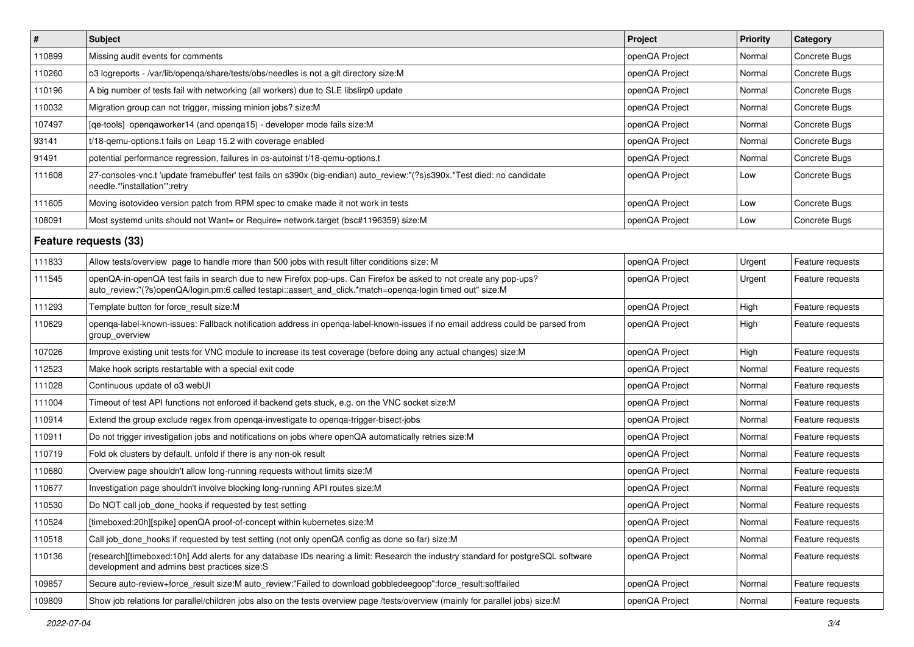| $\vert$ #             | Subject                                                                                                                                                                                                                        | Project        | Priority | Category         |
|-----------------------|--------------------------------------------------------------------------------------------------------------------------------------------------------------------------------------------------------------------------------|----------------|----------|------------------|
| 110899                | Missing audit events for comments                                                                                                                                                                                              | openQA Project | Normal   | Concrete Bugs    |
| 110260                | o3 logreports - /var/lib/openqa/share/tests/obs/needles is not a git directory size:M                                                                                                                                          | openQA Project | Normal   | Concrete Bugs    |
| 110196                | A big number of tests fail with networking (all workers) due to SLE libslirp0 update                                                                                                                                           | openQA Project | Normal   | Concrete Bugs    |
| 110032                | Migration group can not trigger, missing minion jobs? size:M                                                                                                                                                                   | openQA Project | Normal   | Concrete Bugs    |
| 107497                | [qe-tools] openqaworker14 (and openqa15) - developer mode fails size: M                                                                                                                                                        | openQA Project | Normal   | Concrete Bugs    |
| 93141                 | t/18-gemu-options.t fails on Leap 15.2 with coverage enabled                                                                                                                                                                   | openQA Project | Normal   | Concrete Bugs    |
| 91491                 | potential performance regression, failures in os-autoinst t/18-gemu-options.t                                                                                                                                                  | openQA Project | Normal   | Concrete Bugs    |
| 111608                | 27-consoles-vnc.t 'update framebuffer' test fails on s390x (big-endian) auto_review:"(?s)s390x.*Test died: no candidate<br>needle.*'installation'":retry                                                                       | openQA Project | Low      | Concrete Bugs    |
| 111605                | Moving isotovideo version patch from RPM spec to cmake made it not work in tests                                                                                                                                               | openQA Project | Low      | Concrete Bugs    |
| 108091                | Most systemd units should not Want= or Require= network.target (bsc#1196359) size:M                                                                                                                                            | openQA Project | Low      | Concrete Bugs    |
| Feature requests (33) |                                                                                                                                                                                                                                |                |          |                  |
| 111833                | Allow tests/overview page to handle more than 500 jobs with result filter conditions size: M                                                                                                                                   | openQA Project | Urgent   | Feature requests |
| 111545                | openQA-in-openQA test fails in search due to new Firefox pop-ups. Can Firefox be asked to not create any pop-ups?<br>auto_review:"(?s)openQA/login.pm:6 called testapi::assert_and_click.*match=openqa-login timed out" size:M | openQA Project | Urgent   | Feature requests |
| 111293                | Template button for force result size:M                                                                                                                                                                                        | openQA Project | High     | Feature requests |
| 110629                | openga-label-known-issues: Fallback notification address in openga-label-known-issues if no email address could be parsed from<br>group overview                                                                               | openQA Project | High     | Feature requests |
| 107026                | Improve existing unit tests for VNC module to increase its test coverage (before doing any actual changes) size:M                                                                                                              | openQA Project | High     | Feature requests |
| 112523                | Make hook scripts restartable with a special exit code                                                                                                                                                                         | openQA Project | Normal   | Feature requests |
| 111028                | Continuous update of o3 webUI                                                                                                                                                                                                  | openQA Project | Normal   | Feature requests |
| 111004                | Timeout of test API functions not enforced if backend gets stuck, e.g. on the VNC socket size: M                                                                                                                               | openQA Project | Normal   | Feature requests |
| 110914                | Extend the group exclude regex from openga-investigate to openga-trigger-bisect-jobs                                                                                                                                           | openQA Project | Normal   | Feature requests |
| 110911                | Do not trigger investigation jobs and notifications on jobs where openQA automatically retries size:M                                                                                                                          | openQA Project | Normal   | Feature requests |
| 110719                | Fold ok clusters by default, unfold if there is any non-ok result                                                                                                                                                              | openQA Project | Normal   | Feature requests |
| 110680                | Overview page shouldn't allow long-running requests without limits size:M                                                                                                                                                      | openQA Project | Normal   | Feature requests |
| 110677                | Investigation page shouldn't involve blocking long-running API routes size: M                                                                                                                                                  | openQA Project | Normal   | Feature requests |
| 110530                | Do NOT call job done hooks if requested by test setting                                                                                                                                                                        | openQA Project | Normal   | Feature requests |
| 110524                | [timeboxed:20h][spike] openQA proof-of-concept within kubernetes size:M                                                                                                                                                        | openQA Project | Normal   | Feature requests |
| 110518                | Call job_done_hooks if requested by test setting (not only openQA config as done so far) size:M                                                                                                                                | openQA Project | Normal   | Feature requests |
| 110136                | [research][timeboxed:10h] Add alerts for any database IDs nearing a limit: Research the industry standard for postgreSQL software<br>development and admins best practices size:S                                              | openQA Project | Normal   | Feature requests |
| 109857                | Secure auto-review+force result size:M auto review:"Failed to download gobbledeegoop":force result:softfailed                                                                                                                  | openQA Project | Normal   | Feature requests |
| 109809                | Show job relations for parallel/children jobs also on the tests overview page /tests/overview (mainly for parallel jobs) size:M                                                                                                | openQA Project | Normal   | Feature requests |